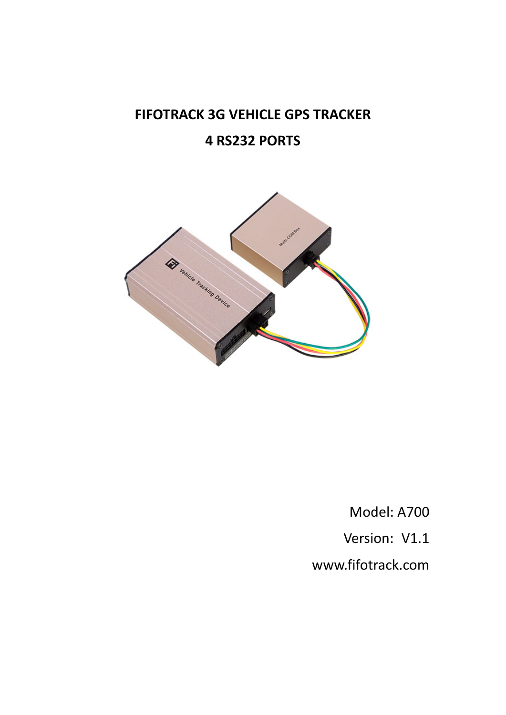# **FIFOTRACK 3G VEHICLE GPS TRACKER**

# **4 RS232 PORTS**



Model: A700 Version: V1.1 [www.fifotrack.com](http://www.fifotrack.com/)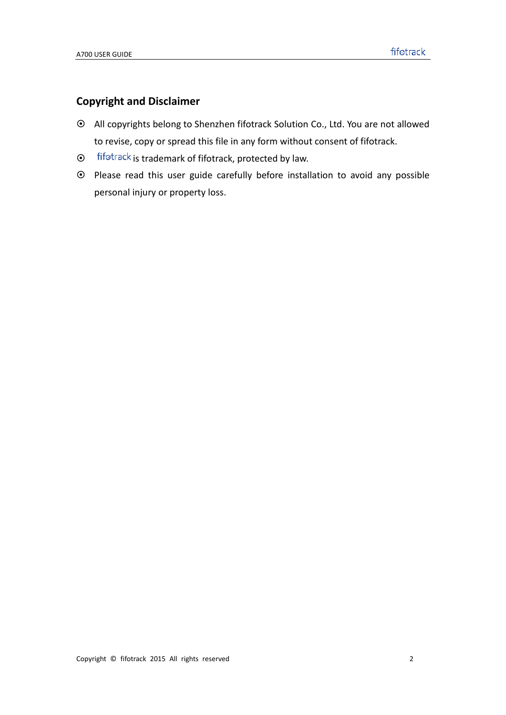# **Copyright and Disclaimer**

- All copyrights belong to Shenzhen fifotrack Solution Co., Ltd. You are not allowed to revise, copy or spread this file in any form without consent of fifotrack.
- $\odot$  fifotrack is trademark of fifotrack, protected by law.
- Please read this user guide carefully before installation to avoid any possible personal injury or property loss.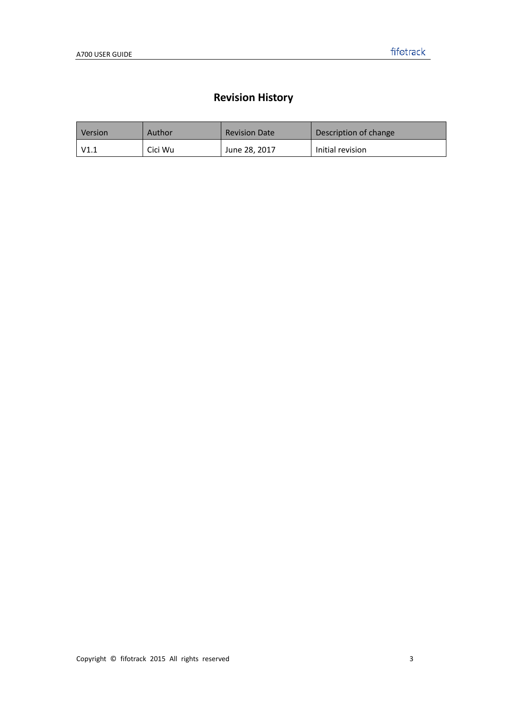# **Revision History**

| Version | Author  | <b>Revision Date</b> | Description of change |
|---------|---------|----------------------|-----------------------|
| V1.1    | Cici Wu | June 28, 2017        | Initial revision      |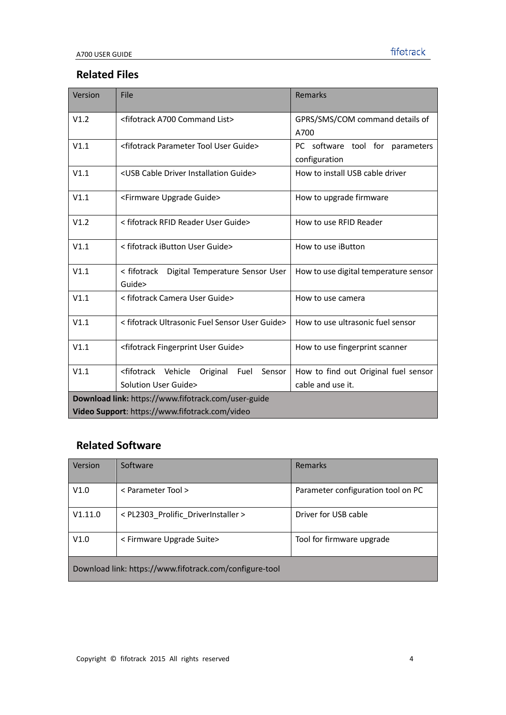# **Related Files**

| Version                                             | File                                                              | <b>Remarks</b>                                   |  |  |
|-----------------------------------------------------|-------------------------------------------------------------------|--------------------------------------------------|--|--|
| V1.2                                                | <fifotrack a700="" command="" list=""></fifotrack>                | GPRS/SMS/COM command details of<br>A700          |  |  |
| V1.1                                                | <fifotrack guide="" parameter="" tool="" user=""></fifotrack>     | PC software tool for parameters<br>configuration |  |  |
| V1.1                                                | <usb cable="" driver="" guide="" installation=""></usb>           | How to install USB cable driver                  |  |  |
| V1.1                                                | <firmware guide="" upgrade=""></firmware>                         | How to upgrade firmware                          |  |  |
| V1.2                                                | < fifotrack RFID Reader User Guide>                               | How to use RFID Reader                           |  |  |
| V1.1                                                | < fifotrack iButton User Guide>                                   | How to use iButton                               |  |  |
| V1.1                                                | < fifotrack  Digital Temperature Sensor User<br>Guide>            | How to use digital temperature sensor            |  |  |
| V1.1                                                | < fifotrack Camera User Guide>                                    | How to use camera                                |  |  |
| V1.1                                                | < fifotrack Ultrasonic Fuel Sensor User Guide>                    | How to use ultrasonic fuel sensor                |  |  |
| V1.1                                                | <fifotrack fingerprint="" guide="" user=""></fifotrack>           | How to use fingerprint scanner                   |  |  |
| V1.1                                                | <fifotrack vehicle<br="">Fuel<br/>Sensor<br/>Original</fifotrack> | How to find out Original fuel sensor             |  |  |
|                                                     | Solution User Guide>                                              | cable and use it.                                |  |  |
| Download link: https://www.fifotrack.com/user-guide |                                                                   |                                                  |  |  |
|                                                     | Video Support: https://www.fifotrack.com/video                    |                                                  |  |  |

# **Related Software**

| <b>Version</b>                                          | Software                                         | Remarks                            |  |  |
|---------------------------------------------------------|--------------------------------------------------|------------------------------------|--|--|
| V1.0                                                    | < Parameter Tool >                               | Parameter configuration tool on PC |  |  |
| V1.11.0                                                 | <pl2303 driverinstaller="" prolific=""></pl2303> | Driver for USB cable               |  |  |
| V1.0                                                    | < Firmware Upgrade Suite>                        | Tool for firmware upgrade          |  |  |
| Download link: https://www.fifotrack.com/configure-tool |                                                  |                                    |  |  |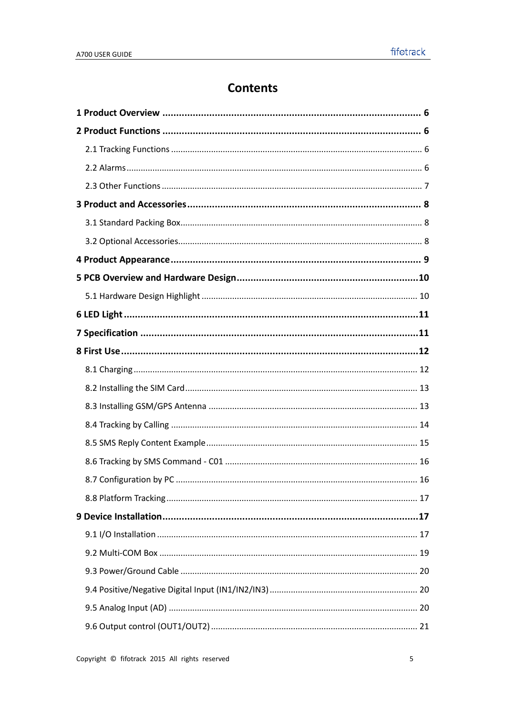# **Contents**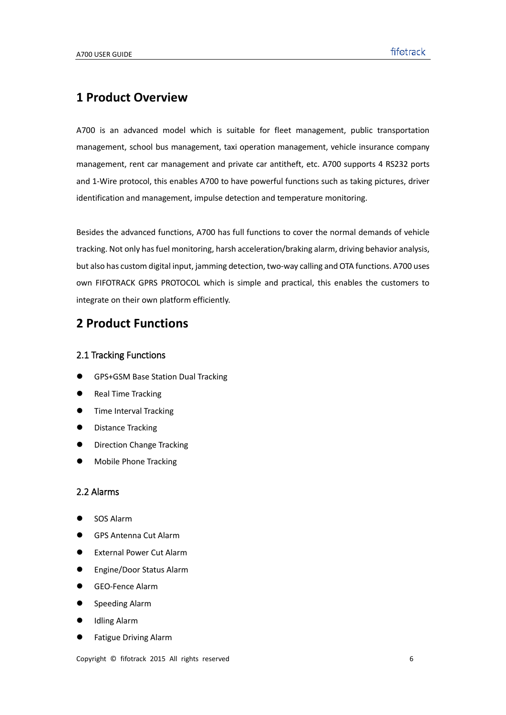### <span id="page-5-0"></span>**1 Product Overview**

A700 is an advanced model which is suitable for fleet management, public transportation management, school bus management, taxi operation management, vehicle insurance company management, rent car management and private car antitheft, etc. A700 supports 4 RS232 ports and 1-Wire protocol, this enables A700 to have powerful functions such as taking pictures, driver identification and management, impulse detection and temperature monitoring.

Besides the advanced functions, A700 has full functions to cover the normal demands of vehicle tracking. Not only has fuel monitoring, harsh acceleration/braking alarm, driving behavior analysis, but also has custom digital input, jamming detection, two-way calling and OTA functions. A700 uses own FIFOTRACK GPRS PROTOCOL which is simple and practical, this enables the customers to integrate on their own platform efficiently.

## <span id="page-5-1"></span>**2 Product Functions**

#### <span id="page-5-2"></span>2.1 Tracking Functions

- GPS+GSM Base Station Dual Tracking
- Real Time Tracking
- **•** Time Interval Tracking
- **•** Distance Tracking
- Direction Change Tracking
- <span id="page-5-3"></span>Mobile Phone Tracking

#### 2.2 Alarms

- SOS Alarm
- GPS Antenna Cut Alarm
- External Power Cut Alarm
- Engine/Door Status Alarm
- GEO-Fence Alarm
- **•** Speeding Alarm
- **•** Idling Alarm
- Fatigue Driving Alarm

Copyright © fifotrack 2015 All rights reserved 6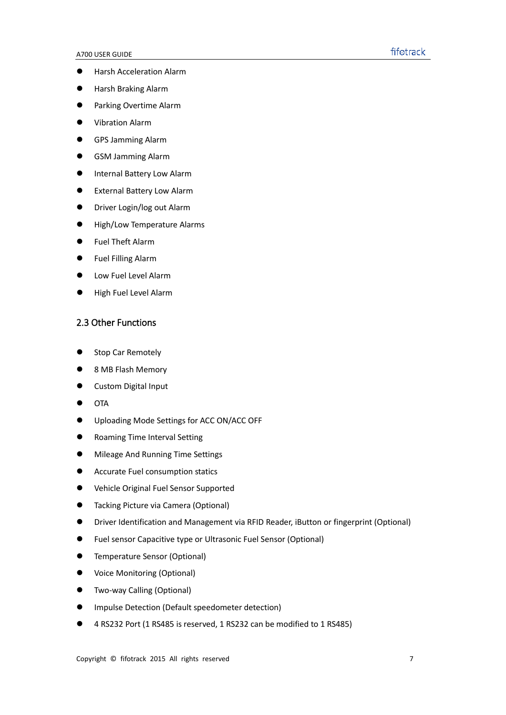- **•** Harsh Acceleration Alarm
- Harsh Braking Alarm
- **•** Parking Overtime Alarm
- Vibration Alarm
- GPS Jamming Alarm
- GSM Jamming Alarm
- **•** Internal Battery Low Alarm
- External Battery Low Alarm
- **•** Driver Login/log out Alarm
- **•** High/Low Temperature Alarms
- Fuel Theft Alarm
- Fuel Filling Alarm
- **•** Low Fuel Level Alarm
- <span id="page-6-0"></span>High Fuel Level Alarm

#### 2.3 Other Functions

- Stop Car Remotely
- 8 MB Flash Memory
- **•** Custom Digital Input
- $\bullet$  OTA
- Uploading Mode Settings for ACC ON/ACC OFF
- Roaming Time Interval Setting
- $\bullet$  Mileage And Running Time Settings
- Accurate Fuel consumption statics
- Vehicle Original Fuel Sensor Supported
- **•** Tacking Picture via Camera (Optional)
- Driver Identification and Management via RFID Reader, iButton or fingerprint (Optional)
- Fuel sensor Capacitive type or Ultrasonic Fuel Sensor (Optional)
- **•** Temperature Sensor (Optional)
- Voice Monitoring (Optional)
- Two-way Calling (Optional)
- Impulse Detection (Default speedometer detection)
- 4 RS232 Port (1 RS485 is reserved, 1 RS232 can be modified to 1 RS485)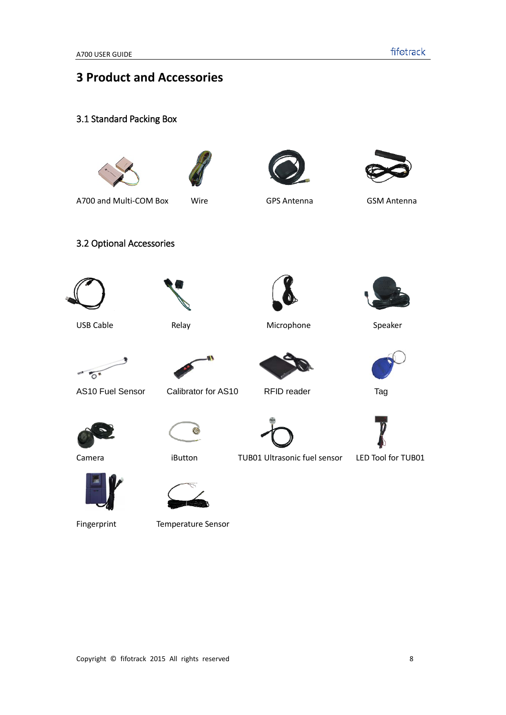# <span id="page-7-0"></span>**3 Product and Accessories**

<span id="page-7-1"></span>3.1 Standard Packing Box









A700 and Multi-COM Box Wire GPS Antenna GSM Antenna



<span id="page-7-2"></span>3.2 Optional Accessories





USB Cable **Relay** Relay **Microphone** Speaker





AS10 Fuel Sensor Calibrator for AS10 RFID reader Tag





Ĝ







Fingerprint Temperature Sensor

Camera **iButton** TUB01 Ultrasonic fuel sensor LED Tool for TUB01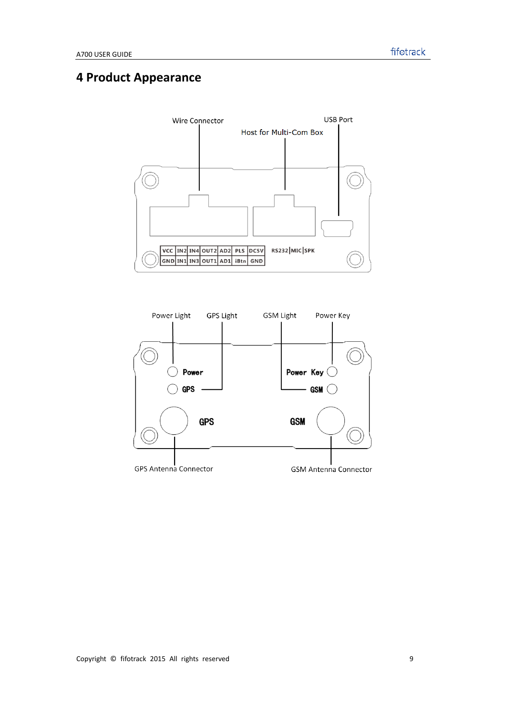# <span id="page-8-0"></span>**4 Product Appearance**



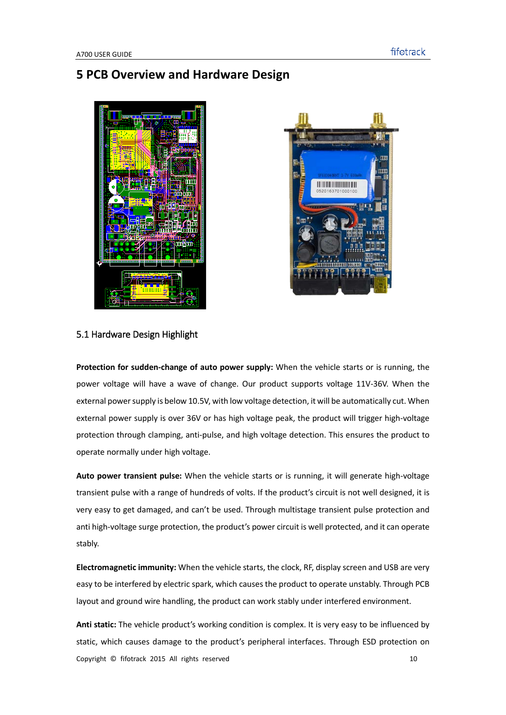# <span id="page-9-0"></span>**5 PCB Overview and Hardware Design**





#### <span id="page-9-1"></span>5.1 Hardware Design Highlight

**Protection for sudden-change of auto power supply:** When the vehicle starts or is running, the power voltage will have a wave of change. Our product supports voltage 11V-36V. When the external power supply is below 10.5V, with low voltage detection, it will be automatically cut. When external power supply is over 36V or has high voltage peak, the product will trigger high-voltage protection through clamping, anti-pulse, and high voltage detection. This ensures the product to operate normally under high voltage.

**Auto power transient pulse:** When the vehicle starts or is running, it will generate high-voltage transient pulse with a range of hundreds of volts. If the product's circuit is not well designed, it is very easy to get damaged, and can't be used. Through multistage transient pulse protection and anti high-voltage surge protection, the product's power circuit is well protected, and it can operate stably.

**Electromagnetic immunity:** When the vehicle starts, the clock, RF, display screen and USB are very easy to be interfered by electric spark, which causes the product to operate unstably. Through PCB layout and ground wire handling, the product can work stably under interfered environment.

Copyright © fifotrack 2015 All rights reserved 10 **Anti static:** The vehicle product's working condition is complex. It is very easy to be influenced by static, which causes damage to the product's peripheral interfaces. Through ESD protection on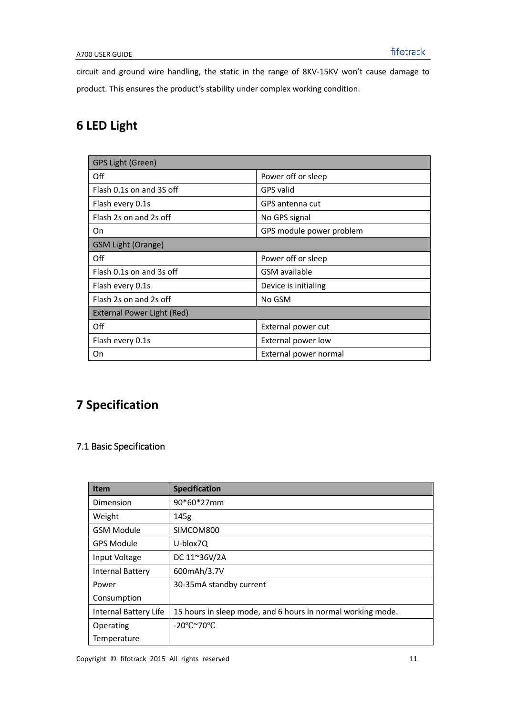circuit and ground wire handling, the static in the range of 8KV-15KV won't cause damage to product. This ensures the product's stability under complex working condition.

# <span id="page-10-0"></span>**6 LED Light**

| GPS Light (Green)          |                          |
|----------------------------|--------------------------|
| Off                        | Power off or sleep       |
| Flash 0.1s on and 3S off   | <b>GPS</b> valid         |
| Flash every 0.1s           | GPS antenna cut          |
| Flash 2s on and 2s off     | No GPS signal            |
| On                         | GPS module power problem |
| <b>GSM Light (Orange)</b>  |                          |
| Off                        | Power off or sleep       |
| Flash 0.1s on and 3s off   | GSM available            |
| Flash every 0.1s           | Device is initialing     |
| Flash 2s on and 2s off     | No GSM                   |
| External Power Light (Red) |                          |
| Off                        | External power cut       |
| Flash every 0.1s           | External power low       |
| On                         | External power normal    |

# <span id="page-10-1"></span>**7 Specification**

### 7.1 Basic Specification

| <b>Item</b>             | <b>Specification</b>                                        |
|-------------------------|-------------------------------------------------------------|
| Dimension               | 90*60*27mm                                                  |
| Weight                  | 145g                                                        |
| <b>GSM Module</b>       | SIMCOM800                                                   |
| <b>GPS Module</b>       | U-blox7Q                                                    |
| Input Voltage           | DC 11~36V/2A                                                |
| <b>Internal Battery</b> | 600mAh/3.7V                                                 |
| Power                   | 30-35mA standby current                                     |
| Consumption             |                                                             |
| Internal Battery Life   | 15 hours in sleep mode, and 6 hours in normal working mode. |
| Operating               | $-20^{\circ}$ C $\sim$ 70 $^{\circ}$ C                      |
| Temperature             |                                                             |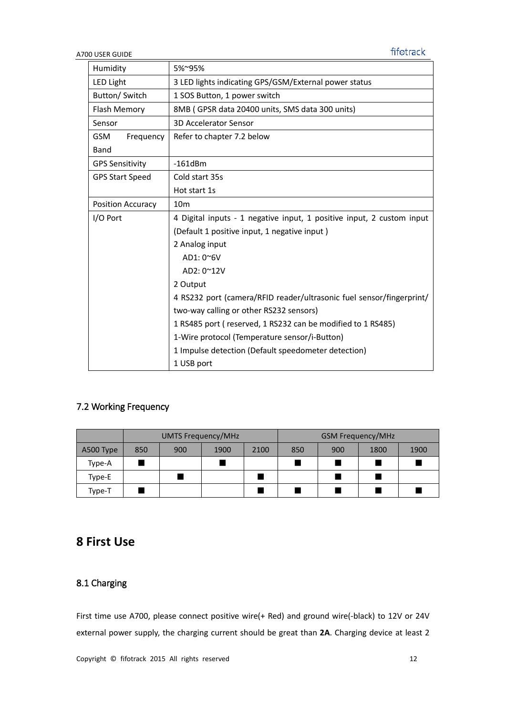A700 USER GUIDE

| Humidity                | 5%~95%                                                                |
|-------------------------|-----------------------------------------------------------------------|
| <b>LED Light</b>        | 3 LED lights indicating GPS/GSM/External power status                 |
| Button/ Switch          | 1 SOS Button, 1 power switch                                          |
| Flash Memory            | 8MB (GPSR data 20400 units, SMS data 300 units)                       |
| Sensor                  | <b>3D Accelerator Sensor</b>                                          |
| <b>GSM</b><br>Frequency | Refer to chapter 7.2 below                                            |
| Band                    |                                                                       |
| <b>GPS Sensitivity</b>  | $-161dBm$                                                             |
| <b>GPS Start Speed</b>  | Cold start 35s                                                        |
|                         | Hot start 1s                                                          |
| Position Accuracy       | 10 <sub>m</sub>                                                       |
| I/O Port                | 4 Digital inputs - 1 negative input, 1 positive input, 2 custom input |
|                         | (Default 1 positive input, 1 negative input)                          |
|                         | 2 Analog input                                                        |
|                         | AD1: 0~6V                                                             |
|                         | AD2: 0~12V                                                            |
|                         | 2 Output                                                              |
|                         | 4 RS232 port (camera/RFID reader/ultrasonic fuel sensor/fingerprint/  |
|                         | two-way calling or other RS232 sensors)                               |
|                         | 1 RS485 port (reserved, 1 RS232 can be modified to 1 RS485)           |
|                         | 1-Wire protocol (Temperature sensor/i-Button)                         |
|                         | 1 Impulse detection (Default speedometer detection)                   |
|                         | 1 USB port                                                            |

### 7.2 Working Frequency

|           | <b>UMTS Frequency/MHz</b> |     |      |      | <b>GSM Frequency/MHz</b> |     |      |      |
|-----------|---------------------------|-----|------|------|--------------------------|-----|------|------|
| A500 Type | 850                       | 900 | 1900 | 2100 | 850                      | 900 | 1800 | 1900 |
| Type-A    |                           |     |      |      |                          |     |      |      |
| Type-E    |                           |     |      |      |                          |     |      |      |
| Type-T    |                           |     |      |      |                          |     |      |      |

# <span id="page-11-0"></span>**8 First Use**

# <span id="page-11-1"></span>8.1 Charging

First time use A700, please connect positive wire(+ Red) and ground wire(-black) to 12V or 24V external power supply, the charging current should be great than **2A**. Charging device at least 2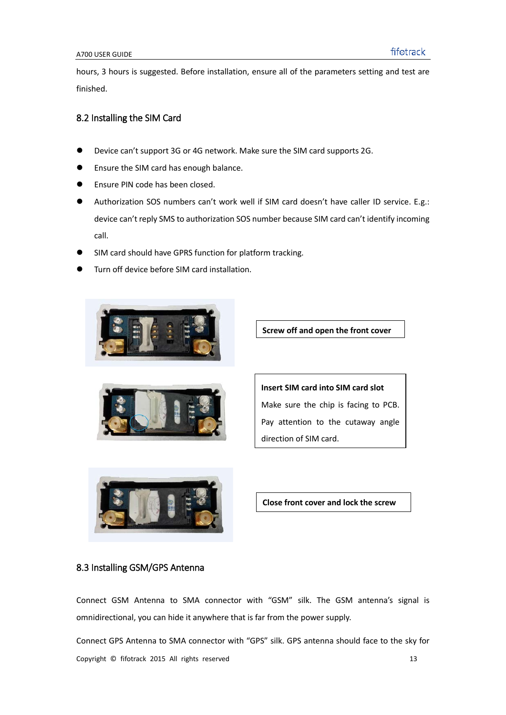hours, 3 hours is suggested. Before installation, ensure all of the parameters setting and test are finished.

#### <span id="page-12-0"></span>8.2 Installing the SIM Card

- Device can't support 3G or 4G network. Make sure the SIM card supports 2G.
- **•** Ensure the SIM card has enough balance.
- **Ensure PIN code has been closed.**
- Authorization SOS numbers can't work well if SIM card doesn't have caller ID service. E.g.: device can't reply SMS to authorization SOS number because SIM card can't identify incoming call.
- SIM card should have GPRS function for platform tracking.
- Turn off device before SIM card installation.





**Screw off and open the front cover**

**Insert SIM card into SIM card slot** Make sure the chip is facing to PCB. Pay attention to the cutaway angle direction of SIM card.

**Close front cover and lock the screw**

#### <span id="page-12-1"></span>8.3 Installing GSM/GPS Antenna

Connect GSM Antenna to SMA connector with "GSM" silk. The GSM antenna's signal is omnidirectional, you can hide it anywhere that is far from the power supply.

Copyright © fifotrack 2015 All rights reserved 13 Connect GPS Antenna to SMA connector with "GPS" silk. GPS antenna should face to the sky for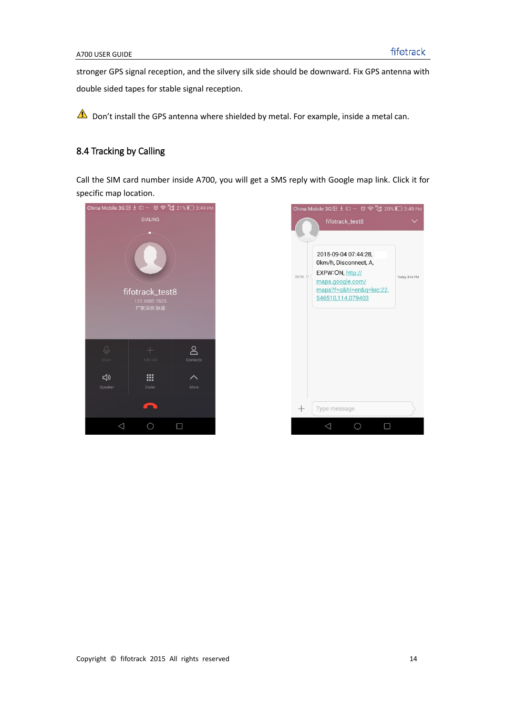stronger GPS signal reception, and the silvery silk side should be downward. Fix GPS antenna with double sided tapes for stable signal reception.

<span id="page-13-0"></span>Don't install the GPS antenna where shielded by metal. For example, inside a metal can.

#### 8.4 Tracking by Calling

Call the SIM card number inside A700, you will get a SMS reply with Google map link. Click it for specific map location.



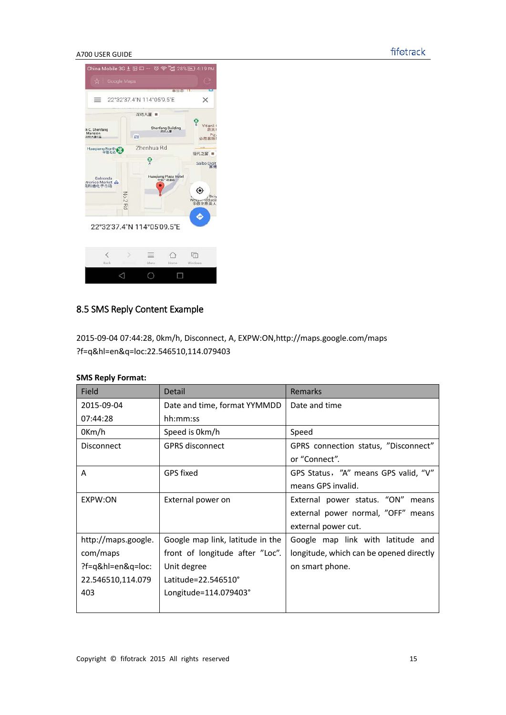#### A700 USER GUIDE



#### <span id="page-14-0"></span>8.5 SMS Reply Content Example

2015-09-04 07:44:28, 0km/h, Disconnect, A, EXPW:ON,http://maps.google.com/maps ?f=q&hl=en&q=loc:22.546510,114.079403

#### **SMS Reply Format:**

| Field               | <b>Detail</b>                    | <b>Remarks</b>                          |  |  |
|---------------------|----------------------------------|-----------------------------------------|--|--|
| 2015-09-04          | Date and time, format YYMMDD     | Date and time                           |  |  |
| 07:44:28            | hh:mm:ss                         |                                         |  |  |
| $0$ Km/h            | Speed is 0km/h                   | Speed                                   |  |  |
| <b>Disconnect</b>   | <b>GPRS disconnect</b>           | GPRS connection status, "Disconnect"    |  |  |
|                     |                                  | or "Connect".                           |  |  |
| A                   | GPS fixed                        | GPS Status, "A" means GPS valid, "V"    |  |  |
|                     |                                  | means GPS invalid.                      |  |  |
| EXPW:ON             | External power on                | External power status. "ON" means       |  |  |
|                     |                                  | external power normal, "OFF" means      |  |  |
|                     |                                  | external power cut.                     |  |  |
| http://maps.google. | Google map link, latitude in the | Google map link with latitude and       |  |  |
| com/maps            | front of longitude after "Loc".  | longitude, which can be opened directly |  |  |
| ?f=q&hl=en&q=loc:   | Unit degree                      | on smart phone.                         |  |  |
| 22.546510,114.079   | Latitude=22.546510°              |                                         |  |  |
| 403                 | Longitude=114.079403°            |                                         |  |  |
|                     |                                  |                                         |  |  |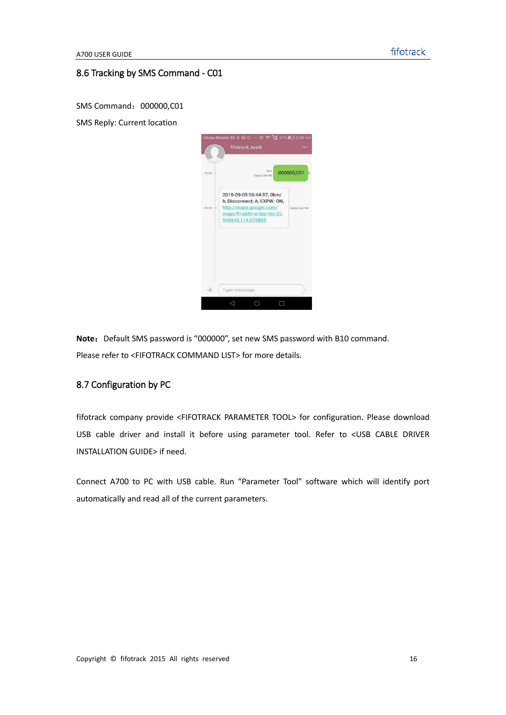#### <span id="page-15-0"></span>8.6 Tracking by SMS Command - C01

SMS Command: 000000,C01

SMS Reply: Current location



Note: Default SMS password is "000000", set new SMS password with B10 command. Please refer to <FIFOTRACK COMMAND LIST> for more details.

#### <span id="page-15-1"></span>8.7 Configuration by PC

fifotrack company provide <FIFOTRACK PARAMETER TOOL> for configuration. Please download USB cable driver and install it before using parameter tool. Refer to <USB CABLE DRIVER INSTALLATION GUIDE> if need.

Connect A700 to PC with USB cable. Run "Parameter Tool" software which will identify port automatically and read all of the current parameters.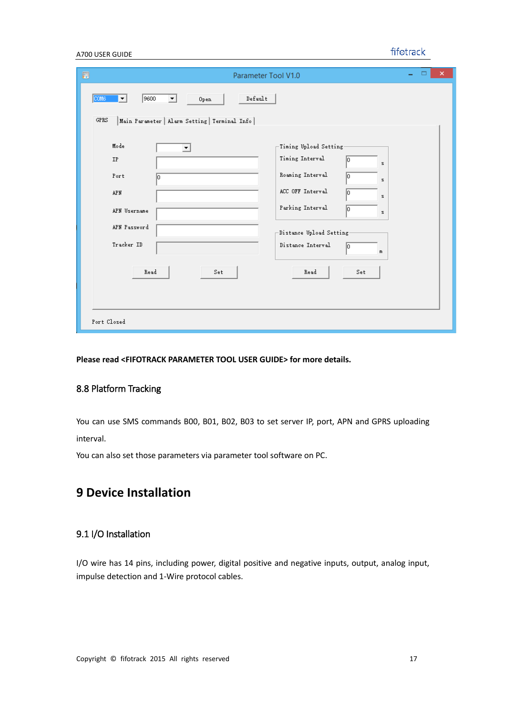#### fifotrack

| Ð<br>Parameter Tool V1.0                                                                                                                                                                                                                                                                                                                                  | ×<br>▭ |
|-----------------------------------------------------------------------------------------------------------------------------------------------------------------------------------------------------------------------------------------------------------------------------------------------------------------------------------------------------------|--------|
| 9600<br>$\texttt{Default}$<br>COM6<br>▾╎<br>Open<br>▼<br>GPRS<br>Main Parameter   Alarm Setting   Terminal Info                                                                                                                                                                                                                                           |        |
| Mode<br>$-$ Timing Upload Setting-<br>▼<br>Timing Interval<br>IP<br>s.<br>Roaming Interval<br>Port<br>lo.<br>I٥<br>z<br>ACC OFF Interval<br><b>APN</b><br>10<br>z.<br>Parking Interval<br>lo.<br>APN Username<br>s.<br>APN Password<br>$-$ Distance Up $\bf{I}$ oad Setting-<br>Tracker ID<br>Distance Interval<br>lo.<br>m<br>Read<br>Read<br>Set<br>Set |        |
| Port Closed                                                                                                                                                                                                                                                                                                                                               |        |

#### <span id="page-16-0"></span>**Please read <FIFOTRACK PARAMETER TOOL USER GUIDE> for more details.**

#### 8.8 Platform Tracking

You can use SMS commands B00, B01, B02, B03 to set server IP, port, APN and GPRS uploading interval.

<span id="page-16-1"></span>You can also set those parameters via parameter tool software on PC.

# **9 Device Installation**

#### <span id="page-16-2"></span>9.1 I/O Installation

I/O wire has 14 pins, including power, digital positive and negative inputs, output, analog input, impulse detection and 1-Wire protocol cables.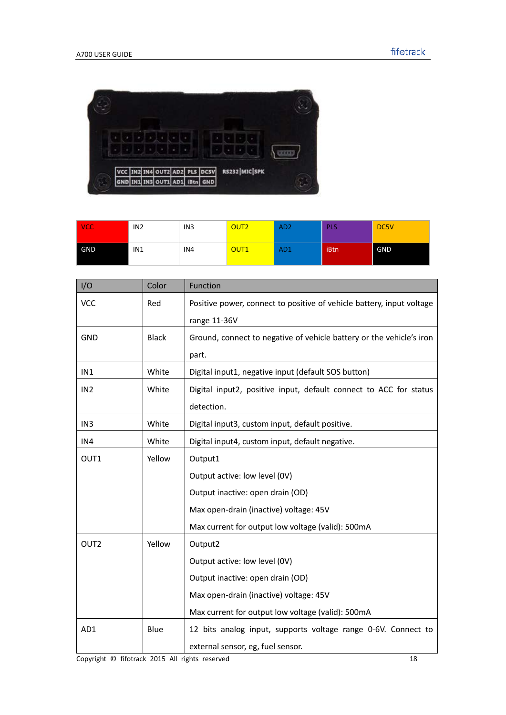

| <b>VCC</b> | IN <sub>2</sub> | IN <sub>3</sub> | OUT <sub>2</sub> | AD <sub>2</sub> | PLS  | DC5V       |
|------------|-----------------|-----------------|------------------|-----------------|------|------------|
| GND        | IN1             | IN4             | OUT <sub>1</sub> | AD <sub>1</sub> | iBtn | <b>GND</b> |

| I/O              | Color        | Function                                                              |  |  |
|------------------|--------------|-----------------------------------------------------------------------|--|--|
| <b>VCC</b>       | Red          | Positive power, connect to positive of vehicle battery, input voltage |  |  |
|                  |              | range 11-36V                                                          |  |  |
| <b>GND</b>       | <b>Black</b> | Ground, connect to negative of vehicle battery or the vehicle's iron  |  |  |
|                  |              | part.                                                                 |  |  |
| IN1              | White        | Digital input1, negative input (default SOS button)                   |  |  |
| IN <sub>2</sub>  | White        | Digital input2, positive input, default connect to ACC for status     |  |  |
|                  |              | detection.                                                            |  |  |
| IN <sub>3</sub>  | White        | Digital input3, custom input, default positive.                       |  |  |
| IN4              | White        | Digital input4, custom input, default negative.                       |  |  |
| OUT1             | Yellow       | Output1                                                               |  |  |
|                  |              | Output active: low level (0V)                                         |  |  |
|                  |              | Output inactive: open drain (OD)                                      |  |  |
|                  |              | Max open-drain (inactive) voltage: 45V                                |  |  |
|                  |              | Max current for output low voltage (valid): 500mA                     |  |  |
| OUT <sub>2</sub> | Yellow       | Output2                                                               |  |  |
|                  |              | Output active: low level (0V)                                         |  |  |
|                  |              | Output inactive: open drain (OD)                                      |  |  |
|                  |              | Max open-drain (inactive) voltage: 45V                                |  |  |
|                  |              | Max current for output low voltage (valid): 500mA                     |  |  |
| AD1              | Blue         | 12 bits analog input, supports voltage range 0-6V. Connect to         |  |  |
|                  |              | external sensor, eg, fuel sensor.                                     |  |  |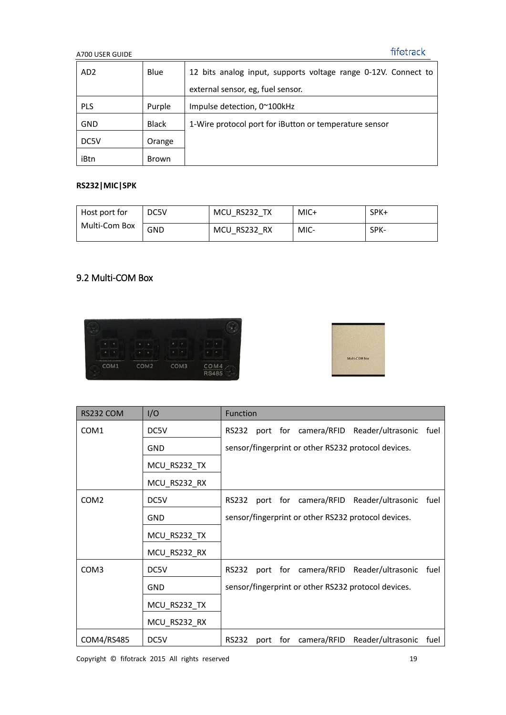#### A700 USER GUIDE

### fifotrack

| AD <sub>2</sub> | Blue         | 12 bits analog input, supports voltage range 0-12V. Connect to |
|-----------------|--------------|----------------------------------------------------------------|
|                 |              | external sensor, eg, fuel sensor.                              |
| <b>PLS</b>      | Purple       | Impulse detection, 0~100kHz                                    |
| <b>GND</b>      | <b>Black</b> | 1-Wire protocol port for iButton or temperature sensor         |
| DC5V            | Orange       |                                                                |
| iBtn            | <b>Brown</b> |                                                                |

### **RS232|MIC|SPK**

| Host port for<br>Multi-Com Box | DC5V | MCU RS232 TX | MIC+ | SPK+ |
|--------------------------------|------|--------------|------|------|
|                                | GND  | MCU RS232 RX | MIC- | SPK- |

### <span id="page-18-0"></span>9.2 Multi-COM Box





| RS232 COM        | I/O          | Function                                                       |
|------------------|--------------|----------------------------------------------------------------|
| COM <sub>1</sub> | DC5V         | RS232 port for camera/RFID Reader/ultrasonic<br>fuel           |
|                  | <b>GND</b>   | sensor/fingerprint or other RS232 protocol devices.            |
|                  | MCU_RS232_TX |                                                                |
|                  | MCU_RS232_RX |                                                                |
| COM <sub>2</sub> | DC5V         | RS232 port for camera/RFID Reader/ultrasonic<br>fuel           |
|                  | <b>GND</b>   | sensor/fingerprint or other RS232 protocol devices.            |
|                  | MCU_RS232_TX |                                                                |
|                  | MCU_RS232_RX |                                                                |
| COM <sub>3</sub> | DC5V         | port for camera/RFID Reader/ultrasonic<br>RS232<br>fuel        |
|                  | <b>GND</b>   | sensor/fingerprint or other RS232 protocol devices.            |
|                  | MCU_RS232_TX |                                                                |
|                  | MCU_RS232_RX |                                                                |
| COM4/RS485       | DC5V         | port for camera/RFID Reader/ultrasonic<br><b>RS232</b><br>fuel |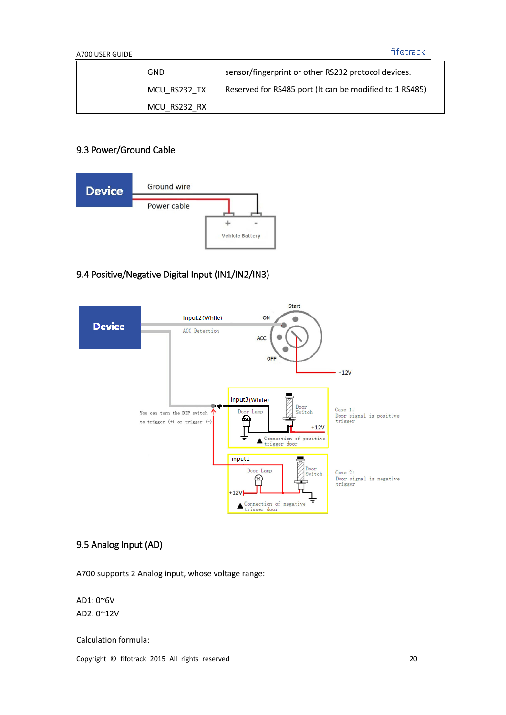| GND          | sensor/fingerprint or other RS232 protocol devices.     |
|--------------|---------------------------------------------------------|
| MCU RS232 TX | Reserved for RS485 port (It can be modified to 1 RS485) |
| MCU RS232 RX |                                                         |

#### <span id="page-19-0"></span>9.3 Power/Ground Cable



### <span id="page-19-1"></span>9.4 Positive/Negative Digital Input (IN1/IN2/IN3)



#### <span id="page-19-2"></span>9.5 Analog Input (AD)

A700 supports 2 Analog input, whose voltage range:

AD1: 0~6V AD2: 0~12V

Calculation formula:

Copyright © fifotrack 2015 All rights reserved 20